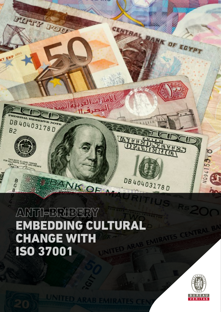

# ANTI-BRIBERY EMBEDDING CULTURAL CHANGE WITH ISO 37001

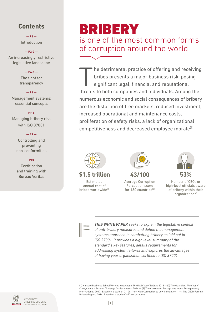## **Contents**

**— P1 —** Introduction

### **— P2-3 —**

An increasingly restrictive legislative landscape

### **— P4-5 —**

The fight for transparency

### **— P6 —** Management systems: essential concepts

### **— P7-8 —**

Managing bribery risk with ISO 37001

### **— P9 —**

Controlling and preventing non-conformities

### **— P10 —**

**Certification** and training with Bureau Veritas

# BRIBERY is one of the most common forms of corruption around the world

The detrimental practice of offering and receiving<br>bribes presents a major business risk, posing<br>significant legal, financial and reputational<br>threats to both companies and individuals. Among the he detrimental practice of offering and receiving bribes presents a major business risk, posing significant legal, financial and reputational numerous economic and social consequences of bribery are the distortion of free markets, reduced investment, increased operational and maintenance costs, proliferation of safety risks, a lack of organizational competitiveness and decreased employee morale<sup>(1)</sup>.



### **\$1.5 trillion 53%**

Estimated annual cost of bribes worldwide<sup>(2)</sup>



**43/100** 

Average Corruption Perception score for  $180$  countries<sup>(3)</sup>



Number of CEOs or high-level officials aware of bribery within their organization $(4)$ 



*THIS WHITE PAPER seeks to explain the legislative context of anti-bribery measures and define the management systems approach to combatting bribery as laid out in ISO 37001. It provides a high level summary of the standard's key features, details requirements for addressing system failures and explores the advantages of having your organization certified to ISO 37001.*

(1) Harvard Business School Working Knowledge, *The Real Cost of Bribery*, 2013 — (2) The Guardian, *The Cost of Corruption is a Serious Challenge for Businesses*, 2014 — (3) The Corruption Perceptions Index, Transparency International, 2017; Based on a scale of 0-100, from High Corruption to Low Corruption — (4) The OECD Foreign



 $\vert$  1

Bribery Report, 2014; Based on a study of 427 corporations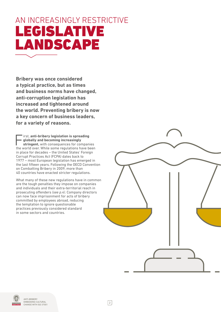# AN INCREASINGLY RESTRICTIVE LANDSCAPE

**Bribery was once considered a typical practice, but as times and business norms have changed, anti-corruption legislation has increased and tightened around the world. Preventing bribery is now a key concern of business leaders, for a variety of reasons.** 

First, anti-bribery legislation is spreading<br> **globally and becoming increasingly<br>
stringent,** with consequences for companies<br>
the world over While some regulations have been **globally and becoming increasingly**  the world over. While some regulations have been in place for decades – the United States' Foreign Corrupt Practices Act (FCPA) dates back to 1977 – most European legislation has emerged in the last fifteen years. Following the OECD Convention on Combatting Bribery in 2009, more than 40 countries have enacted stricter regulations.

What many of these new regulations have in common are the tough penalties they impose on companies and individuals and their extra-territorial reach in prosecuting offenders *(see p.4)*. Company directors can now face imprisonment for acts of bribery committed by employees abroad, reducing the temptation to ignore questionable practices previously considered standard in some sectors and countries.



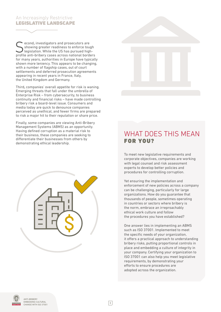### An Increasingly Restrictive LEGISLATIVE LANDSCAPE

Second, investigators and prosecutors are<br>
Showing greater readiness to enforce tough<br>
legislation. While the US has pursued high-<br>
profile anti-bribory cases are national border showing greater readiness to enforce tough profile anti-bribery cases across national borders for many years, authorities in Europe have typically shown more leniency. This appears to be changing, with a number of flagship cases, out of court settlements and deferred prosecution agreements appearing in recent years in France, Italy, the United Kingdom and Germany.

Third**,** companies' overall appetite for risk is waning. Emerging threats that fall under the umbrella of Enterprise Risk – from cybersecurity, to business continuity and financial risks – have made controlling bribery risk a board-level issue. Consumers and media today are quick to denounce companies perceived as unethical, and fewer firms are prepared to risk a major hit to their reputation or share price.

Finally, some companies are viewing Anti-Bribery Management Systems (ABMS) as an opportunity. Having defined corruption as a material risk to their business, these companies are seeking to differentiate their businesses from others by demonstrating ethical leadership.





## WHAT DOES THIS MEAN FOR YOU?

To meet new legislative requirements and corporate objectives, companies are working with legal counsel and risk assessment experts to develop better policies and procedures for controlling corruption.

Yet ensuring the implementation and enforcement of new policies across a company can be challenging, particularly for large organizations. How do you guarantee that thousands of people, sometimes operating in countries or sectors where bribery is the norm, embrace an irreproachably ethical work culture and follow the procedures you have established?

One answer lies in implementing an ABMS such as ISO 37001. Implemented to meet the specific needs of your organization, it offers a practical approach to understanding bribery risks, putting proportional controls in place and embedding a culture of integrity in your company. Certifying your organization to ISO 37001 can also help you meet legislative requirements, by demonstrating your efforts to ensure procedures are adopted across the organization.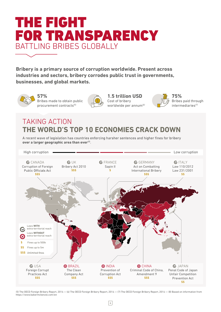

**Bribery is a primary source of corruption worldwide. Present across industries and sectors, bribery corrodes public trust in governments, businesses, and global markets.**



**57%** Bribes made to obtain public procurement contracts(5)



**1.5 trillion USD** Cost of bribery worldwide per annum<sup>(6)</sup>



## **THE WORLD'S TOP 10 ECONOMIES CRACK DOWN** TAKING ACTION

A recent wave of legislation has countries enforcing harsher sentences and higher fines for bribery over a larger geographic area than ever<sup>(8)</sup>.



(5) The OECD Foreign Bribery Report, 2014 — (6) The OECD Foreign Bribery Report, 2014 — (7) The OECD Foreign Bribery Report, 2014 — (8) Based on information from <https://www.bakermckenzie.com/en>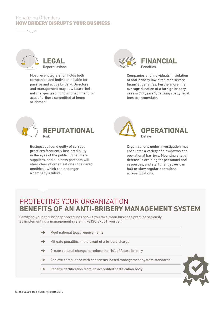### Penalizing Offenders HOW BRIBERY DISRUPTS YOUR BUSINESS



Most recent legislation holds both companies and individuals liable for passive and active bribery. Directors and management may now face criminal charges leading to imprisonment for acts of bribery committed at home or abroad.



Companies and individuals in violation of anti-bribery law often face severe financial penalties. Furthermore, the average duration of a foreign bribery case is 7.3 years<sup>(9)</sup>, causing costly legal fees to accumulate.



Businesses found guilty of corrupt practices frequently lose credibility in the eyes of the public. Consumers, suppliers, and business partners will steer clear of organizations considered unethical, which can endanger a company's future.



Organizations under investigation may encounter a variety of slowdowns and operational barriers. Mounting a legal defense is draining for personnel and resources, and staff changeover can halt or slow regular operations across locations.

## PROTECTING YOUR ORGANIZATION **BENEFITS OF AN ANTI-BRIBERY MANAGEMENT SYSTEM**

Certifying your anti-bribery procedures shows you take clean business practice seriously. By implementing a management system like ISO 37001, you can:

> $\rightarrow$ Meet national legal requirements Mitigate penalties in the event of a bribery charge  $\rightarrow$  $\rightarrow$ Create cultural change to reduce the risk of future bribery  $\rightarrow$ Achieve compliance with consensus-based management system standards  $\rightarrow$ Receive certification from an accredited certification body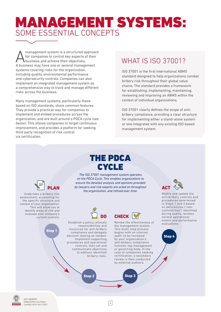# MANAGEMENT SYSTEMS: SOME ESSENTIAL CONCEPTS

Management system is a structured approach<br>for companies to control key aspects of their<br>husiness and achieve their objectives. for companies to control key aspects of their business and achieve their objectives. A business may have one or several management systems covering risks for the organization, including quality, environmental performance and cybersecurity controls. Companies can also implement an integrated management system as a comprehensive way to track and manage different risks across the business.

Many management systems, particularly those based on ISO standards, share common features. They provide a practical way for companies to implement and embed procedures across the organization, and are built around a PDCA cycle *(see below)*. This allows companies to target continuous improvement, and provides a platform for seeking third party recognition of risk control via certification.

Step 1

PLAN

Undertake a bribery risk assessment, accounting for the specific structure and context of your organization. This will allow you to identify areas of risk and evaluate your company's current controls.

## WHAT IS ISO 37001?

ISO 37001 is the first international ABMS standard designed to help organizations combat bribery risk throughout their global value chains. The standard provides a framework for establishing, implementing, maintaining, reviewing and improving an ABMS within the context of individual organizations.

ISO 37001 clearly defines the scope of antibribery compliance, providing a clear structure for implementing either a stand-alone system or one integrated with any existing ISO-based management system.

## THE PDCA **CYCLE**

*The ISO 37001 management system operates on the PDCA Cycle. This enables organizations to ensure the detailed analysis and opinions provided by lawyers and risk experts are acted on throughout the organization, and refined over time.*



Establish a policy, allocate responsibilities and resources for anti-bribery compliance and delegate decision making as needed. Implement supporting procedures and operational controls, then set and communicate objectives to address identified bribery risks.



Review the effectiveness of the management system. This multi-step process begins with an internal audit, to be reviewed by your organization's anti-bribery compliance function, top management or governing body. In the case of companies seeking certification, a secondary review is then conducted by external auditors.



Modify and update the anti-bribery controls and procedures determined in Steps 1 and 2 based on deficiencies ("nonconformities") identified during audits, reviews, normal operational events and performance evaluations.





76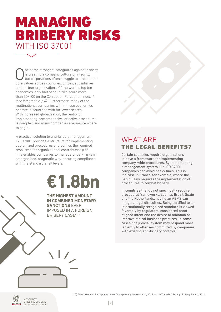# MANAGING BRIBERY RISKS WITH ISO 37001

ne of the strongest safeguards against bribery is creating a company culture of integrity, but corporations often struggle to embed their core values across countries, offices, subsidiaries and partner organizations. Of the world's top ten economies, only half of countries score more than 50/100 on the Corruption Perception Index<sup>(10)</sup> *(see infographic, p.4)*. Furthermore, many of the multinational companies within these economies operate in countries with far lower scores. With increased globalization, the reality of implementing comprehensive, effective procedures is complex, and many companies are unsure where to begin.

A practical solution to anti-bribery management, ISO 37001 provides a structure for implementing customized procedures and defines the required resources for organizational controls *(see p.8)*. This enables companies to manage bribery risks in an organized, pragmatic way, ensuring compliance with the standard at all levels.

# **€1.8bn**

**THE HIGHEST AMOUNT IN COMBINED MONETARY SANCTIONS** EVER IMPOSED IN A FOREIGN BRIBERY CASE(11)

## WHAT ARE THE LEGAL BENEFITS?

Certain countries require organizations to have a framework for implementing company-wide procedures. By implementing a management system like ISO 37001, companies can avoid heavy fines. This is the case in France, for example, where the Sapin II law requires the implementation of procedures to combat bribery.

In countries that do not specifically require procedural frameworks, such as Brazil, Spain and the Netherlands, having an ABMS can mitigate legal difficulties. Being certified to an internationally recognized standard is viewed favorably by regulators, considered proof of good intent and the desire to maintain or improve ethical business practices. In some cases, the judicial system may respond more leniently to offenses committed by companies with existing anti-bribery controls.



(10) The Corruption Perceptions Index, Transparency International, 2017 *—* (11) The OECD Foreign Bribery Report, 2014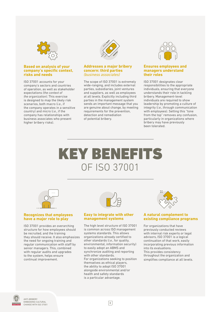

### **Based on analysis of your company's specific context, risks and needs**

ISO 37001 accounts for your company's sectors and countries of operation, as well as stakeholder expectations *(the context of the organization)*. This exercise is designed to map the likely risk scenarios, both macro (*i.e.*, if the company operates in a sensitive country) and micro (*i.e.*, if the company has relationships with business associates who present higher bribery risks).



### **Addresses a major bribery concern: third parties**  *(business associates)*

The scope of ISO 37001 is extremely wide-ranging, and includes external parties, subsidiaries, joint ventures and suppliers, as well as employees at all levels. Explicitly including third parties in the management system sends an important message that you are genuine about change, by meeting requirements for the prevention, detection and remediation of potential bribery.



### **Ensures employees and managers understand their roles**

ISO 37001 designates clear responsibilities to the appropriate individuals, ensuring that everyone understands their role in tackling bribery. Management-level individuals are required to show leadership by promoting a culture of integrity (*i.e.*, through communication with employees). Setting this "tone from the top" removes any confusion, particularly in organizations where bribery may have previously been tolerated.

# KEY BENEFITS OF ISO 37001



### **Recognizes that employees have a major role to play**

ISO 37001 provides an overarching structure for how employees should be recruited, and the training they should receive. It also emphasizes the need for ongoing training and regular communication with staff by senior managers. This, combined with regular audits and upgrades to the system, helps ensure continual improvement.



### **Easy to integrate with other management systems**

The high level structure of ISO 37001 is common across ISO management systems standards. This allows organizations already certified to other standards (*i.e.*, for quality, environmental, information security) to easily adopt an ABMS and synchronize auditing and reporting with other standards. For organizations seeking to position themselves as ethical players, the ability to adopt ISO 37001 alongside environmental and/or health and safety standards is a particular advantage.



### **A natural complement to existing compliance programs**

For organizations that have previously conducted reviews with internal risk experts or legal advisors, ISO 37001 is a logical continuation of that work, easily incorporating previous information into its evaluations. This provides consistency throughout the organization and simplifies compliance at all levels.



8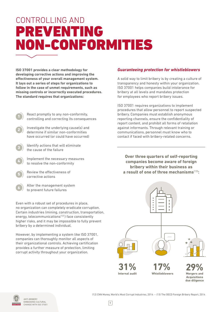# CONTROLLING AND PREVENTING NON-CONFORMITIES

**ISO 37001 provides a clear methodology for developing corrective actions and improving the effectiveness of your overall management system. It lays out a series of steps for organizations to follow in the case of unmet requirements, such as missing controls or incorrectly executed procedures. The standard requires that organizations:** 

2

- React promptly to any non-conformity, controlling and correcting its consequences
- Investigate the underlying cause(s) and determine if similar non-conformities have occurred (or could have occurred)
- Identify actions that will eliminate the cause of the failure 3
	- Implement the necessary measures to resolve the non-conformity
	- Review the effectiveness of corrective actions



4

5

Alter the management system to prevent future failures

Even with a robust set of procedures in place, no organization can completely eradicate corruption. Certain industries (mining, construction, transportation, energy, telecommunications<sup>(12)</sup>) face consistently higher risks, and it may be impossible to fully prevent bribery by a determined individual.

However, by implementing a system like ISO 37001, companies can thoroughly monitor all aspects of their organizational controls. Achieving certification provides a further measure of protection, limiting corrupt activity throughout your organization.

### *Guaranteeing protection for whistleblowers*

A solid way to limit bribery is by creating a culture of transparency and honesty within your organization. ISO 37001 helps companies build intolerance for bribery at all levels and mandates protection for employees who report bribery issues.

ISO 37001 requires organizations to implement procedures that allow personnel to report suspected bribery. Companies must establish anonymous reporting channels, ensure the confidentiality of report content, and prohibit all forms of retaliation against informants. Through relevant training or communications, personnel must know who to contact if faced with bribery-related concerns.

**Over three quarters of self-reporting companies become aware of foreign bribery within their business as a result of one of three mechanisms**(13)**:**



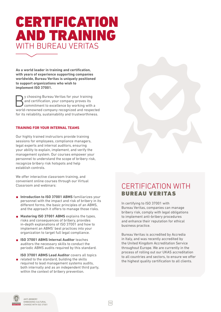# CERTIFICATION AND TRAINING WITH BUREAU VERITAS

**As a world leader in training and certification, with years of experience supporting companies worldwide, Bureau Veritas is uniquely positioned to support organizations who wish to implement ISO 37001.** 

**By choosing Bureau Veritas for your training**<br>
and certification, your company proves its<br>
commitment to excellence by working with a<br>
world renewned company recognized and recogni and certification, your company proves its world-renowned company recognized and respected for its reliability, sustainability and trustworthiness.

### **TRAINING FOR YOUR INTERNAL TEAMS**

Our highly trained instructors provide training sessions for employees, compliance managers, legal experts and internal auditors, ensuring your ability to explain, implement, and verify the management system. Our courses empower your personnel to understand the scope of bribery risk, recognize bribery risk hotspots and help establish controls.

We offer interactive classroom training, and convenient online courses through our Virtual

- **Introduction to ISO 37001 ABMS** familiarizes your personnel with the impact and risk of bribery in its different forms, the basic principles of an ABMS, and the approach it offers to manage those risks.
- **Mastering ISO 37001 ABMS** explains the types, risks and consequences of bribery, provides in-depth explanations of ISO 37001 and how to implement an ABMS' best practices into your organization to target full legal compliance.
- **ISO 37001 ABMS Internal Auditor** teaches auditors the necessary skills to conduct the periodic ABMS audits required by this standard.
- **ISO 37001 ABMS Lead Auditor** covers all topics  $\blacksquare$  related to the standard, building the skills required to lead management systems audits, both internally and as an independent third party, within the context of bribery prevention.



## Classroom and webinars: The CERTIFICATION WITH BUREAU VERITAS

In certifying to ISO 37001 with Bureau Veritas, companies can manage bribery risk, comply with legal obligations to implement anti-bribery procedures and enhance their reputation for ethical business practice.

Bureau Veritas is accredited by [Accredia](http://services.accredia.it/ppsearch/accredia_orgmask.jsp?ID_LINK=1733&area=310&PPSEARCH_ORG_SEARCH_MASK_ORG=0663)  in Italy, and was recently accredited by the [United Kingdom Accreditation Service](https://www.ukas.com/services/technical-services/development-of-new-areas-of-accreditation/current-pilot-projects/accreditation-for-certification-of-anti-bribery-management-systems-iso-370012016/ )  throughout Europe. We are currently in the process of rolling out our UKAS accreditation to all countries and sectors, to ensure we offer the highest quality certification to all clients.